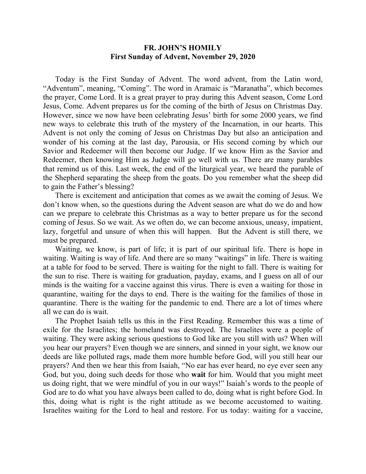## **FR. JOHN'S HOMILY First Sunday of Advent, November 29, 2020**

 Today is the First Sunday of Advent. The word advent, from the Latin word, "Adventum", meaning, "Coming". The word in Aramaic is "Maranatha", which becomes the prayer, Come Lord. It is a great prayer to pray during this Advent season, Come Lord Jesus, Come. Advent prepares us for the coming of the birth of Jesus on Christmas Day. However, since we now have been celebrating Jesus' birth for some 2000 years, we find new ways to celebrate this truth of the mystery of the Incarnation, in our hearts. This Advent is not only the coming of Jesus on Christmas Day but also an anticipation and wonder of his coming at the last day, Parousia, or His second coming by which our Savior and Redeemer will then become our Judge. If we know Him as the Savior and Redeemer, then knowing Him as Judge will go well with us. There are many parables that remind us of this. Last week, the end of the liturgical year, we heard the parable of the Shepherd separating the sheep from the goats. Do you remember what the sheep did to gain the Father's blessing?

 There is excitement and anticipation that comes as we await the coming of Jesus. We don't know when, so the questions during the Advent season are what do we do and how can we prepare to celebrate this Christmas as a way to better prepare us for the second coming of Jesus. So we wait. As we often do, we can become anxious, uneasy, impatient, lazy, forgetful and unsure of when this will happen. But the Advent is still there, we must be prepared.

 Waiting, we know, is part of life; it is part of our spiritual life. There is hope in waiting. Waiting is way of life. And there are so many "waitings" in life. There is waiting at a table for food to be served. There is waiting for the night to fall. There is waiting for the sun to rise. There is waiting for graduation, payday, exams, and I guess on all of our minds is the waiting for a vaccine against this virus. There is even a waiting for those in quarantine, waiting for the days to end. There is the waiting for the families of those in quarantine. There is the waiting for the pandemic to end. There are a lot of times where all we can do is wait.

 The Prophet Isaiah tells us this in the First Reading. Remember this was a time of exile for the Israelites; the homeland was destroyed. The Israelites were a people of waiting. They were asking serious questions to God like are you still with us? When will you hear our prayers? Even though we are sinners, and sinned in your sight, we know our deeds are like polluted rags, made them more humble before God, will you still hear our prayers? And then we hear this from Isaiah, "No ear has ever heard, no eye ever seen any God, but you, doing such deeds for those who **wait** for him. Would that you might meet us doing right, that we were mindful of you in our ways!" Isaiah's words to the people of God are to do what you have always been called to do, doing what is right before God. In this, doing what is right is the right attitude as we become accustomed to waiting. Israelites waiting for the Lord to heal and restore. For us today: waiting for a vaccine,